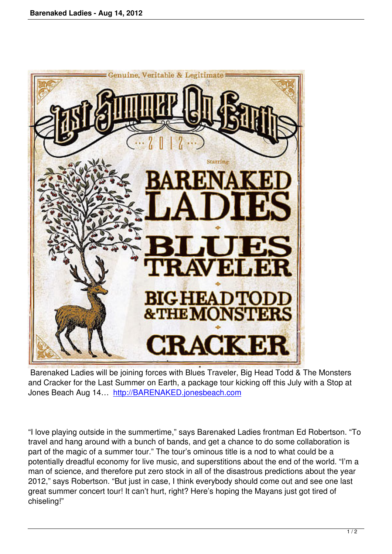

 Barenaked Ladies will be joining forces with Blues Traveler, Big Head Todd & The Monsters and Cracker for the Last Summer on Earth, a package tour kicking off this July with a Stop at Jones Beach Aug 14… http://BARENAKED.jonesbeach.com

"I love playing outside in [the summertime," says Barenaked L](http://BARENAKED.jonesbeach.com)adies frontman Ed Robertson. "To travel and hang around with a bunch of bands, and get a chance to do some collaboration is part of the magic of a summer tour." The tour's ominous title is a nod to what could be a potentially dreadful economy for live music, and superstitions about the end of the world. "I'm a man of science, and therefore put zero stock in all of the disastrous predictions about the year 2012," says Robertson. "But just in case, I think everybody should come out and see one last great summer concert tour! It can't hurt, right? Here's hoping the Mayans just got tired of chiseling!"